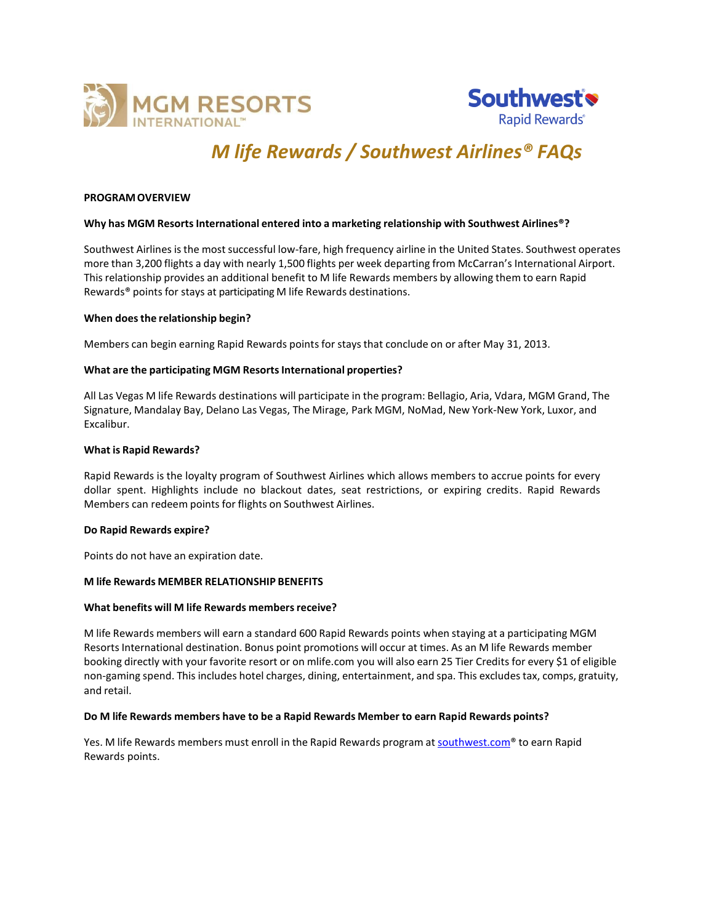



# *M life Rewards / Southwest Airlines® FAQs*

### **PROGRAMOVERVIEW**

#### **Why has MGM Resorts International entered into a marketing relationship with Southwest Airlines®?**

Southwest Airlines is the most successful low-fare, high frequency airline in the United States. Southwest operates more than 3,200 flights a day with nearly 1,500 flights per week departing from McCarran's International Airport. This relationship provides an additional benefit to M life Rewards members by allowing them to earn Rapid Rewards® points for stays at participating M life Rewards destinations.

#### **When doesthe relationship begin?**

Members can begin earning Rapid Rewards points for staysthat conclude on or after May 31, 2013.

#### **What are the participating MGM ResortsInternational properties?**

All Las Vegas M life Rewards destinations will participate in the program: Bellagio, Aria, Vdara, MGM Grand, The Signature, Mandalay Bay, Delano Las Vegas, The Mirage, Park MGM, NoMad, New York-New York, Luxor, and Excalibur.

#### **What is Rapid Rewards?**

Rapid Rewards is the loyalty program of Southwest Airlines which allows members to accrue points for every dollar spent. Highlights include no blackout dates, seat restrictions, or expiring credits. Rapid Rewards Members can redeem points for flights on Southwest Airlines.

#### **Do Rapid Rewards expire?**

Points do not have an expiration date.

# **M life Rewards MEMBER RELATIONSHIP BENEFITS**

#### **What benefits will M life Rewards membersreceive?**

M life Rewards members will earn a standard 600 Rapid Rewards points when staying at a participating MGM Resorts International destination. Bonus point promotions will occur at times. As an M life Rewards member booking directly with your favorite resort or on mlife.com you will also earn 25 Tier Credits for every \$1 of eligible non-gaming spend. This includes hotel charges, dining, entertainment, and spa. This excludes tax, comps, gratuity, and retail.

#### **Do M life Rewards members have to be a Rapid Rewards Member to earn Rapid Rewards points?**

Yes. M life Rewards members must enroll in the Rapid Rewards program at [southwest.com®](https://www.southwest.com/) to earn Rapid Rewards points.